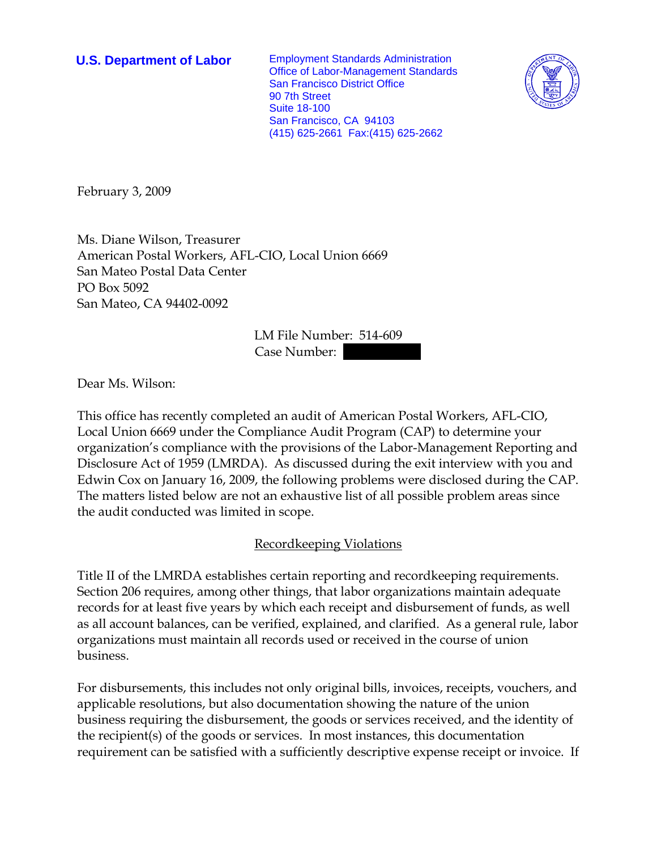**U.S. Department of Labor** Employment Standards Administration Office of Labor-Management Standards San Francisco District Office 90 7th Street Suite 18-100 San Francisco, CA 94103 (415) 625-2661 Fax:(415) 625-2662



February 3, 2009

Ms. Diane Wilson, Treasurer American Postal Workers, AFL-CIO, Local Union 6669 San Mateo Postal Data Center PO Box 5092 San Mateo, CA 94402-0092

> LM File Number: 514-609 Case Number:

Dear Ms. Wilson:

This office has recently completed an audit of American Postal Workers, AFL-CIO, Local Union 6669 under the Compliance Audit Program (CAP) to determine your organization's compliance with the provisions of the Labor-Management Reporting and Disclosure Act of 1959 (LMRDA). As discussed during the exit interview with you and Edwin Cox on January 16, 2009, the following problems were disclosed during the CAP. The matters listed below are not an exhaustive list of all possible problem areas since the audit conducted was limited in scope.

## Recordkeeping Violations

Title II of the LMRDA establishes certain reporting and recordkeeping requirements. Section 206 requires, among other things, that labor organizations maintain adequate records for at least five years by which each receipt and disbursement of funds, as well as all account balances, can be verified, explained, and clarified. As a general rule, labor organizations must maintain all records used or received in the course of union business.

For disbursements, this includes not only original bills, invoices, receipts, vouchers, and applicable resolutions, but also documentation showing the nature of the union business requiring the disbursement, the goods or services received, and the identity of the recipient(s) of the goods or services. In most instances, this documentation requirement can be satisfied with a sufficiently descriptive expense receipt or invoice. If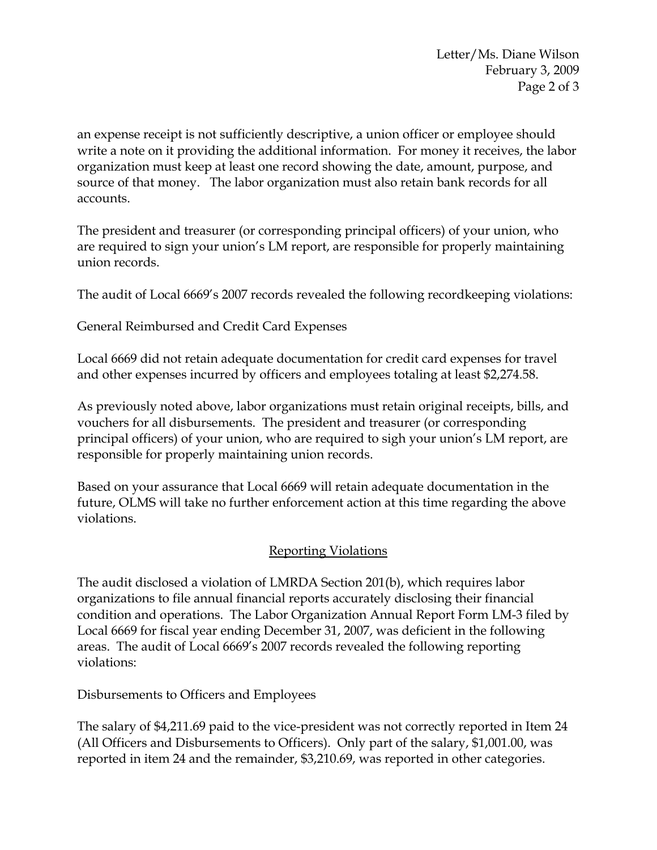Letter/Ms. Diane Wilson February 3, 2009 Page 2 of 3

an expense receipt is not sufficiently descriptive, a union officer or employee should write a note on it providing the additional information. For money it receives, the labor organization must keep at least one record showing the date, amount, purpose, and source of that money. The labor organization must also retain bank records for all accounts.

The president and treasurer (or corresponding principal officers) of your union, who are required to sign your union's LM report, are responsible for properly maintaining union records.

The audit of Local 6669's 2007 records revealed the following recordkeeping violations:

General Reimbursed and Credit Card Expenses

Local 6669 did not retain adequate documentation for credit card expenses for travel and other expenses incurred by officers and employees totaling at least \$2,274.58.

As previously noted above, labor organizations must retain original receipts, bills, and vouchers for all disbursements. The president and treasurer (or corresponding principal officers) of your union, who are required to sigh your union's LM report, are responsible for properly maintaining union records.

Based on your assurance that Local 6669 will retain adequate documentation in the future, OLMS will take no further enforcement action at this time regarding the above violations.

## Reporting Violations

The audit disclosed a violation of LMRDA Section 201(b), which requires labor organizations to file annual financial reports accurately disclosing their financial condition and operations. The Labor Organization Annual Report Form LM-3 filed by Local 6669 for fiscal year ending December 31, 2007, was deficient in the following areas. The audit of Local 6669's 2007 records revealed the following reporting violations:

Disbursements to Officers and Employees

The salary of \$4,211.69 paid to the vice-president was not correctly reported in Item 24 (All Officers and Disbursements to Officers). Only part of the salary, \$1,001.00, was reported in item 24 and the remainder, \$3,210.69, was reported in other categories.